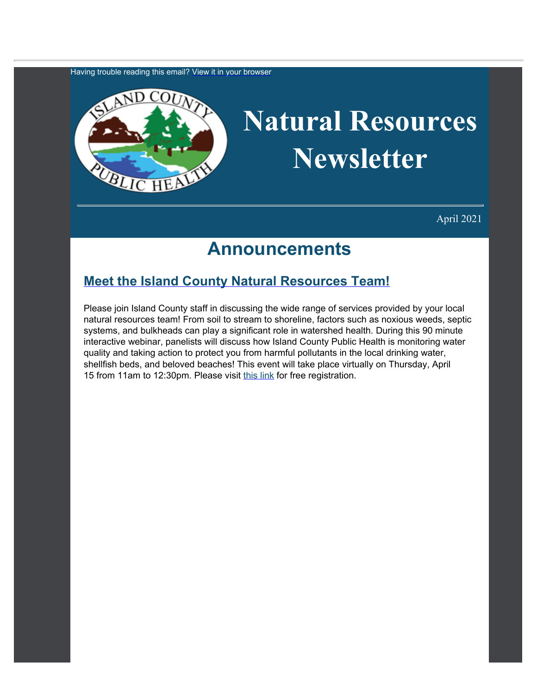Having trouble reading this email? [View](https://content.govdelivery.com/accounts/WACOISLAND/bulletins/2cbafba) [it in your browser](https://content.govdelivery.com/accounts/WACOISLAND/bulletins/2cbafba)



## **Natural Resources Newsletter**

April 2021

### **Announcements**

#### **[Meet the Island County Natural Resources Team!](https://us02web.zoom.us/webinar/register/WN_RqbrgfaGSFq9QGeGIvL_6w?utm_content=&utm_medium=email&utm_name=&utm_source=govdelivery&utm_term=)**

Please join Island County staff in discussing the wide range of services provided by your local natural resources team! From soil to stream to shoreline, factors such as noxious weeds, septic systems, and bulkheads can play a significant role in watershed health. During this 90 minute interactive webinar, panelists will discuss how Island County Public Health is monitoring water quality and taking action to protect you from harmful pollutants in the local drinking water, shellfish beds, and beloved beaches! This event will take place virtually on Thursday, April 15 from 11am to 12:30pm. Please visit [this link](https://us02web.zoom.us/webinar/register/WN_RqbrgfaGSFq9QGeGIvL_6w?utm_content=&utm_medium=email&utm_name=&utm_source=govdelivery&utm_term=) for free registration.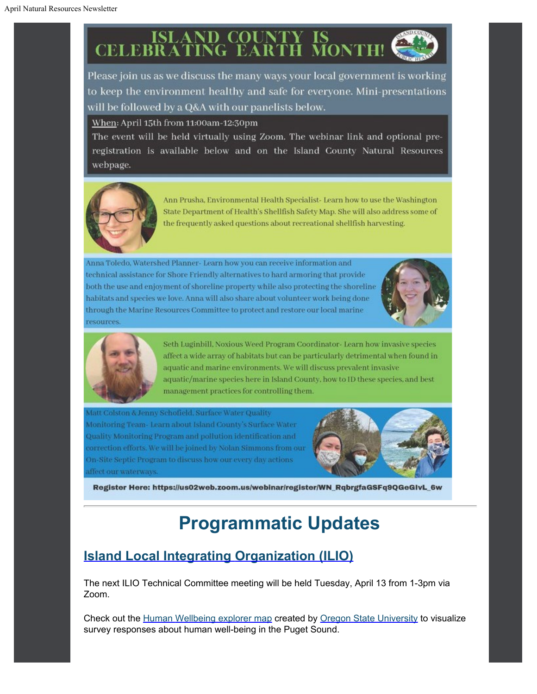# **ISLAND COUNTY IS<br>CELEBRATING EARTH MONTH!**

Please join us as we discuss the many ways your local government is working to keep the environment healthy and safe for everyone. Mini-presentations will be followed by a Q&A with our panelists below.

When: April 15th from 11:00am-12:30pm

The event will be held virtually using Zoom. The webinar link and optional preregistration is available below and on the Island County Natural Resources webpage.



Ann Prusha, Environmental Health Specialist- Learn how to use the Washington State Department of Health's Shellfish Safety Map. She will also address some of the frequently asked questions about recreational shellfish harvesting.

Anna Toledo, Watershed Planner- Learn how you can receive information and technical assistance for Shore Friendly alternatives to hard armoring that provide both the use and enjoyment of shoreline property while also protecting the shoreline habitats and species we love. Anna will also share about volunteer work being done through the Marine Resources Committee to protect and restore our local marine resources.





Seth Luginbill, Noxious Weed Program Coordinator- Learn how invasive species affect a wide array of habitats but can be particularly detrimental when found in aquatic and marine environments. We will discuss prevalent invasive aquatic/marine species here in Island County, how to ID these species, and best management practices for controlling them.

Matt Colston & Jenny Schofield, Surface Water Quality Monitoring Team-Learn about Island County's Surface Water Quality Monitoring Program and pollution identification and correction efforts. We will be joined by Nolan Simmons from our On-Site Septic Program to discuss how our every day actions affect our waterways.



Register Here: https://us02web.zoom.us/webinar/register/WN\_RqbrgfaGSFq9QGeGIvL\_6w

## **Programmatic Updates**

#### **[Island Local Integrating](https://www.islandcountywa.gov/Health/DNR/ILIO/Pages/Home.aspx?utm_content=&utm_medium=email&utm_name=&utm_source=govdelivery&utm_term=) [Organization \(ILIO\)](https://www.islandcountywa.gov/Health/DNR/ILIO/Pages/Home.aspx?utm_content=&utm_medium=email&utm_name=&utm_source=govdelivery&utm_term=)**

The next ILIO Technical Committee meeting will be held Tuesday, April 13 from 1-3pm via Zoom.

Check out the [Human](https://briangkatz.github.io/HWB/?utm_content=&utm_medium=email&utm_name=&utm_source=govdelivery&utm_term=) [Wellbeing explorer map](https://briangkatz.github.io/HWB/?utm_content=&utm_medium=email&utm_name=&utm_source=govdelivery&utm_term=) created by [Oregon State University](https://oregonstate.edu/?utm_content=&utm_medium=email&utm_name=&utm_source=govdelivery&utm_term=) to visualize survey responses about human well-being in the Puget Sound.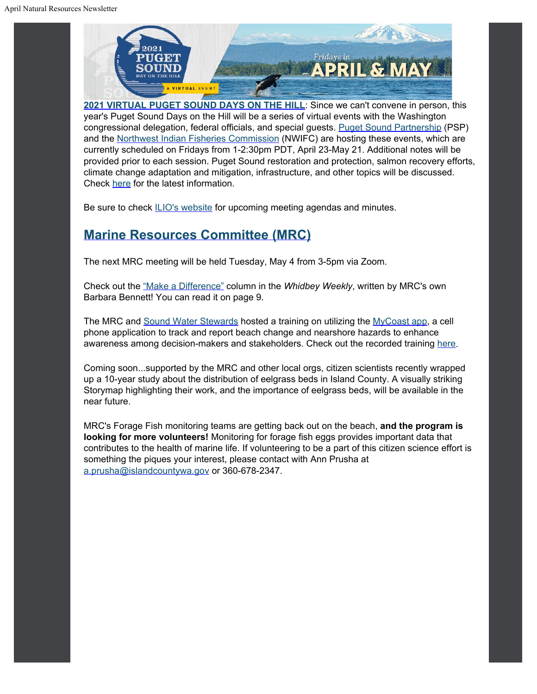

**[2021 VIRTUAL PUGET](https://www.psp.wa.gov/?utm_content=&utm_medium=email&utm_name=&utm_source=govdelivery&utm_term=) [SOUND DAYS ON THE HILL](https://www.psp.wa.gov/?utm_content=&utm_medium=email&utm_name=&utm_source=govdelivery&utm_term=)**: Since we can't convene in person, this year's Puget Sound Days on the Hill will be a series of virtual events with the Washington congressional delegation, federal officials, and special guests. [Puget Sound Partnership](https://www.psp.wa.gov/index.php?utm_content=&utm_medium=email&utm_name=&utm_source=govdelivery&utm_term=) (PSP) and the [Northwest Indian](https://nwifc.org/?utm_content=&utm_medium=email&utm_name=&utm_source=govdelivery&utm_term=) [Fisheries Commission](https://nwifc.org/?utm_content=&utm_medium=email&utm_name=&utm_source=govdelivery&utm_term=) (NWIFC) are hosting these events, which are currently scheduled on Fridays from 1-2:30pm PDT, April 23-May 21. Additional notes will be provided prior to each session. Puget Sound restoration and protection, salmon recovery efforts, climate change adaptation and mitigation, infrastructure, and other topics will be discussed. Check [here](https://www.psp.wa.gov/psdoth2021.php?utm_content=&utm_medium=email&utm_name=&utm_source=govdelivery&utm_term=) for the latest information.

Be sure to check **[ILIO's website](https://www.islandcountywa.gov/Health/DNR/ILIO/Pages/ILIO-Agendas--Minutes.aspx?utm_content=&utm_medium=email&utm_name=&utm_source=govdelivery&utm_term=)** for upcoming meeting agendas and minutes.

#### **[Marine Resources Committee \(MRC\)](https://www.islandcountymrc.org/?utm_content=&utm_medium=email&utm_name=&utm_source=govdelivery&utm_term=)**

The next MRC meeting will be held Tuesday, May 4 from 3-5pm via Zoom.

Check out the ["Make a Difference"](https://www.whidbeyweekly.com/wp-content/uploads/2021/03/13.11-March-18-2021-WEB.pdf?utm_content=&utm_medium=email&utm_name=&utm_source=govdelivery&utm_term=) column in the *Whidbey Weekly*, written by MRC's own Barbara Bennett! You can read it on page 9.

The MRC and [Sound](https://soundwaterstewards.org/web/?utm_content=&utm_medium=email&utm_name=&utm_source=govdelivery&utm_term=) [Water Stewards](https://soundwaterstewards.org/web/?utm_content=&utm_medium=email&utm_name=&utm_source=govdelivery&utm_term=) hosted a training on utilizing the [MyCoast](https://mycoast.org/wa?utm_content=&utm_medium=email&utm_name=&utm_source=govdelivery&utm_term=) [app](https://mycoast.org/wa?utm_content=&utm_medium=email&utm_name=&utm_source=govdelivery&utm_term=), a cell phone application to track and report beach change and nearshore hazards to enhance awareness among decision-makers and stakeholders. Check out the recorded training [here](https://vimeo.com/508591672?utm_content=&utm_medium=email&utm_name=&utm_source=govdelivery&utm_term=).

Coming soon...supported by the MRC and other local orgs, citizen scientists recently wrapped up a 10-year study about the distribution of eelgrass beds in Island County. A visually striking Storymap highlighting their work, and the importance of eelgrass beds, will be available in the near future.

MRC's Forage Fish monitoring teams are getting back out on the beach, **and the program is looking for more volunteers!** Monitoring for forage fish eggs provides important data that contributes to the health of marine life. If volunteering to be a part of this citizen science effort is something the piques your interest, please contact with Ann Prusha at [a.prusha@islandcountywa.gov](mailto:a.prusha@islandcountywa.gov) or 360-678-2347.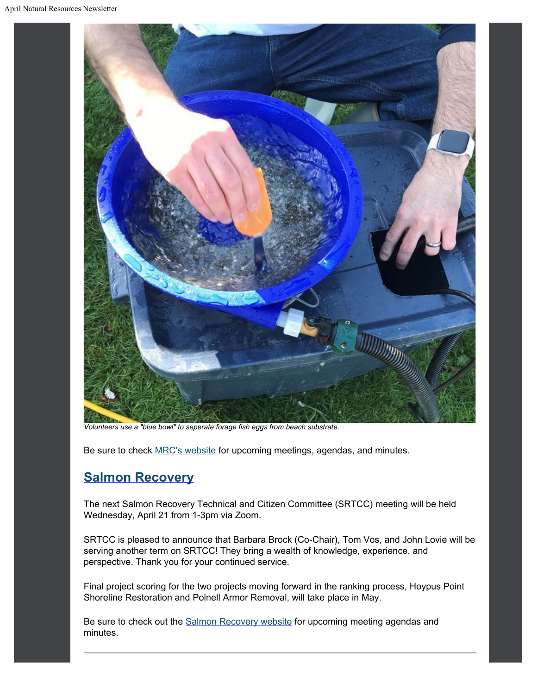

*Volunteers use a "blue bowl" to seperate forage fish eggs from beach substrate.*

Be sure to check [MRC's website](https://www.islandcountymrc.org/meetings-events/?utm_content=&utm_medium=email&utm_name=&utm_source=govdelivery&utm_term=) for upcoming meetings, agendas, and minutes.

#### **[Salmon Recovery](https://www.islandcountywa.gov/Health/DNR/Salmon/Pages/Home.aspx?utm_content=&utm_medium=email&utm_name=&utm_source=govdelivery&utm_term=)**

The next Salmon Recovery Technical and Citizen Committee (SRTCC) meeting will be held Wednesday, April 21 from 1-3pm via Zoom.

SRTCC is pleased to announce that Barbara Brock (Co-Chair), Tom Vos, and John Lovie will be serving another term on SRTCC! They bring a wealth of knowledge, experience, and perspective. Thank you for your continued service.

Final project scoring for the two projects moving forward in the ranking process, Hoypus Point Shoreline Restoration and Polnell Armor Removal, will take place in May.

Be sure to check out the **Salmon Recovery website** for upcoming meeting agendas and minutes.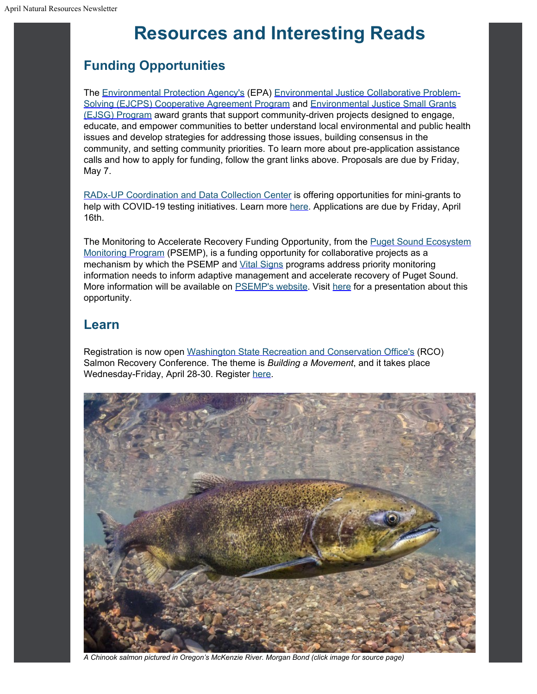## **Resources and Interesting Reads**

#### **Funding Opportunities**

The [Environmental](https://www.epa.gov/?utm_content=&utm_medium=email&utm_name=&utm_source=govdelivery&utm_term=) [Protection Agency's](https://www.epa.gov/?utm_content=&utm_medium=email&utm_name=&utm_source=govdelivery&utm_term=) (EPA) [Environmental Justice](https://www.epa.gov/environmental-justice/environmental-justice-collaborative-problem-solving-cooperative-agreement-0?utm_content=&utm_medium=email&utm_name=&utm_source=govdelivery&utm_term=) [Collaborative Problem-](https://www.epa.gov/environmental-justice/environmental-justice-collaborative-problem-solving-cooperative-agreement-0?utm_content=&utm_medium=email&utm_name=&utm_source=govdelivery&utm_term=)[Solving \(EJCPS\) Cooperative Agreement Program](https://www.epa.gov/environmental-justice/environmental-justice-collaborative-problem-solving-cooperative-agreement-0?utm_content=&utm_medium=email&utm_name=&utm_source=govdelivery&utm_term=) and [Environmental Justice](https://www.epa.gov/environmentaljustice/environmental-justice-small-grants-program?utm_content=&utm_medium=email&utm_name=&utm_source=govdelivery&utm_term=) [Small Grants](https://www.epa.gov/environmentaljustice/environmental-justice-small-grants-program?utm_content=&utm_medium=email&utm_name=&utm_source=govdelivery&utm_term=) [\(EJSG\) Program](https://www.epa.gov/environmentaljustice/environmental-justice-small-grants-program?utm_content=&utm_medium=email&utm_name=&utm_source=govdelivery&utm_term=) award grants that support community-driven projects designed to engage, educate, and empower communities to better understand local environmental and public health issues and develop strategies for addressing those issues, building consensus in the community, and setting community priorities. To learn more about pre-application assistance calls and how to apply for funding, follow the grant links above. Proposals are due by Friday, May 7.

[RADx-UP Coordination](https://radx-up.org/?utm_content=&utm_medium=email&utm_name=&utm_source=govdelivery&utm_term=) [and Data Collection Center](https://radx-up.org/?utm_content=&utm_medium=email&utm_name=&utm_source=govdelivery&utm_term=) is offering opportunities for mini-grants to help with COVID-19 testing initiatives. Learn more [here](https://radx-up.org/apply-for-grant/?utm_content=&utm_medium=email&utm_name=&utm_source=govdelivery&utm_term=). Applications are due by Friday, April 16th.

The Monitoring to Accelerate Recovery Funding Opportunity, from the [Puget Sound Ecosystem](https://www.psp.wa.gov/PSEMP-overview.php?utm_content=&utm_medium=email&utm_name=&utm_source=govdelivery&utm_term=) [Monitoring Program](https://www.psp.wa.gov/PSEMP-overview.php?utm_content=&utm_medium=email&utm_name=&utm_source=govdelivery&utm_term=) (PSEMP), is a funding opportunity for collaborative projects as a mechanism by which the PSEMP and [Vital Signs](https://psp.wa.gov/evaluating-vital-signs.php?utm_content=&utm_medium=email&utm_name=&utm_source=govdelivery&utm_term=) programs address priority monitoring information needs to inform adaptive management and accelerate recovery of Puget Sound. More information will be available on **PSEMP's website**. Visit [here](https://pspwa.app.box.com/s/bkqzv9vzdm2iy0j8vlste35uvptm6ljt?utm_content=&utm_medium=email&utm_name=&utm_source=govdelivery&utm_term=) for a presentation about this opportunity.

#### **Learn**

Registration is now open [Washington State](https://rco.wa.gov/?utm_content=&utm_medium=email&utm_name=&utm_source=govdelivery&utm_term=) [Recreation and Conservation Office's](https://rco.wa.gov/?utm_content=&utm_medium=email&utm_name=&utm_source=govdelivery&utm_term=) (RCO) Salmon Recovery Conference. The theme is *Building a Movement*, and it takes place Wednesday-Friday, April 28-30. Register [here](https://rco.wa.gov/salmon-recovery/salmon-recovery-conference/?utm_content=&utm_medium=email&utm_name=&utm_source=govdelivery&utm_term=).



*A Chinook salmon pictured in Oregon's McKenzie River. Morgan Bond (click image for source page)*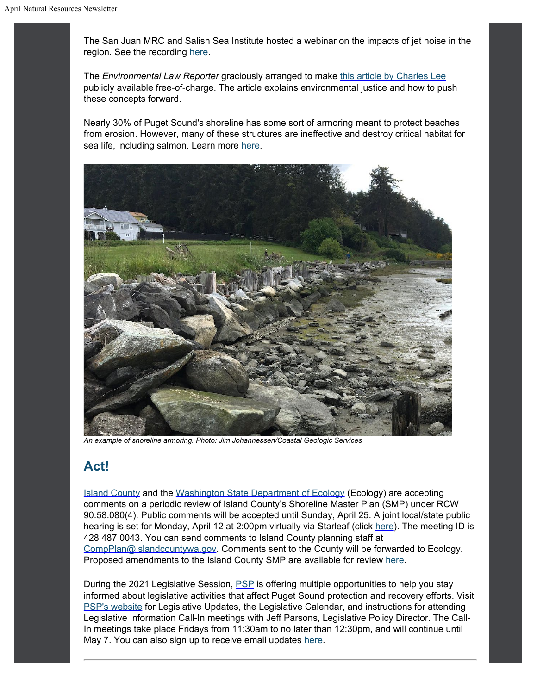The San Juan MRC and Salish Sea Institute hosted a webinar on the impacts of jet noise in the region. See the recording [here](https://alumni.wwu.edu/event/salish-sea-science-symposium-implications-noise-navy-aircraft-salish-sea-and-olympic-region?utm_content=&utm_medium=email&utm_name=&utm_source=govdelivery&utm_term=).

The *Environmental Law Reporter* graciously arranged to make [this](https://clicks.eventbrite.com/f/a/7CG0yJn6ailiDBX1qnTj9Q~~/AAQxAQA~/RgRiLR4UP0RBaHR0cHM6Ly93d3cuZWxpLm9yZy9zaXRlcy9kZWZhdWx0L2ZpbGVzL2RvY3MvZWxyX3BkZi81MS4xMDIwNy5wZGZXA3NwY0IKYEmU6ktgytu1A1IabC5jbGFya0Bpc2xhbmRjb3VudHl3YS5nb3ZYBAAAAAA~?utm_content=&utm_medium=email&utm_name=&utm_source=govdelivery&utm_term=) [article by Charles Lee](https://clicks.eventbrite.com/f/a/7CG0yJn6ailiDBX1qnTj9Q~~/AAQxAQA~/RgRiLR4UP0RBaHR0cHM6Ly93d3cuZWxpLm9yZy9zaXRlcy9kZWZhdWx0L2ZpbGVzL2RvY3MvZWxyX3BkZi81MS4xMDIwNy5wZGZXA3NwY0IKYEmU6ktgytu1A1IabC5jbGFya0Bpc2xhbmRjb3VudHl3YS5nb3ZYBAAAAAA~?utm_content=&utm_medium=email&utm_name=&utm_source=govdelivery&utm_term=) publicly available free-of-charge. The article explains environmental justice and how to push these concepts forward.

Nearly 30% of Puget Sound's shoreline has some sort of armoring meant to protect beaches from erosion. However, many of these structures are ineffective and destroy critical habitat for sea life, including salmon. Learn more [here](https://www.eopugetsound.org/magazine/IS/shoreline-armoring-relic-past?utm_content=&utm_medium=email&utm_name=&utm_source=govdelivery&utm_term=).



*An example of shoreline armoring. Photo: Jim Johannessen/Coastal Geologic Services*

#### **Act!**

[Island County](https://www.islandcountywa.gov/planning/Pages/Home.aspx?utm_content=&utm_medium=email&utm_name=&utm_source=govdelivery&utm_term=) and the [Washington State](https://ecology.wa.gov/?utm_content=&utm_medium=email&utm_name=&utm_source=govdelivery&utm_term=) [Department of Ecology](https://ecology.wa.gov/?utm_content=&utm_medium=email&utm_name=&utm_source=govdelivery&utm_term=) (Ecology) are accepting comments on a periodic review of Island County's Shoreline Master Plan (SMP) under RCW 90.58.080(4). Public comments will be accepted until Sunday, April 25. A joint local/state public hearing is set for Monday, April 12 at 2:00pm virtually via Starleaf (click [here](https://lnks.gd/l/eyJhbGciOiJIUzI1NiJ9.eyJidWxsZXRpbl9saW5rX2lkIjoxMDEsInVyaSI6ImJwMjpjbGljayIsImJ1bGxldGluX2lkIjoiMjAyMTAzMjkuMzc5MDgwMzEiLCJ1cmwiOiJodHRwczovL2xua3MuZ2QvbC9leUpoYkdjaU9pSklVekkxTmlKOS5leUppZFd4c1pYUnBibDlzYVc1clgybGtJam94TURBc0luVnlhU0k2SW1Kd01qcGpiR2xqYXlJc0ltSjFiR3hsZEdsdVgybGtJam9pTWpBeU1UQXpNak11TXpjMU5ETXdOVEVpTENKMWNtd2lPaUpvZEhSd2N6b3ZMMjFsWlhRdWMzUmhjbXhsWVdZdVkyOXRMelF5T0RRNE56QXdORE12WVhCd1AzVjBiVjlqYjI1MFpXNTBQU1oxZEcxZmJXVmthWFZ0UFdWdFlXbHNKblYwYlY5dVlXMWxQU1oxZEcxZmMyOTFjbU5sUFdkdmRtUmxiR2wyWlhKNUpuVjBiVjkwWlhKdFBTSjkuT1p1RVByV1BhcDdSdjd6aDdZdElTTHQtbjdneHdhLWFrWlNNbTZoRjhNMC9zLzU4MDY4OTEwOC9ici8xMDA1MDE4MzYzNDktbD91dG1fY29udGVudD0mdXRtX21lZGl1bT1lbWFpbCZ1dG1fbmFtZT0mdXRtX3NvdXJjZT1nb3ZkZWxpdmVyeSZ1dG1fdGVybT0ifQ.5HTBRj-GCJFbXvQ_iXUwL6ayMh7x1g97qAwoyv_F1yA/s/1119264334/br/100915827126-l?utm_content=&utm_medium=email&utm_name=&utm_source=govdelivery&utm_term=)). The meeting ID is 428 487 0043. You can send comments to Island County planning staff at [CompPlan@islandcountywa.gov.](mailto:CompPlan@islandcountywa.gov) Comments sent to the County will be forwarded to Ecology. Proposed amendments to the Island County SMP are available for review [here.](https://lnks.gd/l/eyJhbGciOiJIUzI1NiJ9.eyJidWxsZXRpbl9saW5rX2lkIjoxMDIsInVyaSI6ImJwMjpjbGljayIsImJ1bGxldGluX2lkIjoiMjAyMTAzMjkuMzc5MDgwMzEiLCJ1cmwiOiJodHRwczovL2xua3MuZ2QvbC9leUpoYkdjaU9pSklVekkxTmlKOS5leUppZFd4c1pYUnBibDlzYVc1clgybGtJam94TURFc0luVnlhU0k2SW1Kd01qcGpiR2xqYXlJc0ltSjFiR3hsZEdsdVgybGtJam9pTWpBeU1UQXpNak11TXpjMU5ETXdOVEVpTENKMWNtd2lPaUpvZEhSd2N6b3ZMM2QzZHk1cGMyeGhibVJqYjNWdWRIbDNZUzVuYjNZdlVHeGhibTVwYm1jdlVHRm5aWE12TWpBeU1GTk5VQzVoYzNCNFAzVjBiVjlqYjI1MFpXNTBQU1oxZEcxZmJXVmthWFZ0UFdWdFlXbHNKblYwYlY5dVlXMWxQU1oxZEcxZmMyOTFjbU5sUFdkdmRtUmxiR2wyWlhKNUpuVjBiVjkwWlhKdFBTSjkuWk1BckNSRFVueEZRRnJYY0VaTGZELTVIZG1DVUY5SmhPZFJPWlpTUWIyMC9zLzU4MDY4OTEwOC9ici8xMDA1MDE4MzYzNDktbD91dG1fY29udGVudD0mdXRtX21lZGl1bT1lbWFpbCZ1dG1fbmFtZT0mdXRtX3NvdXJjZT1nb3ZkZWxpdmVyeSZ1dG1fdGVybT0ifQ.PSCzYDQ9iNsMpP0eWXu0MrRExgvVIF_ckJuedEQ07i4/s/1119264334/br/100915827126-l?utm_content=&utm_medium=email&utm_name=&utm_source=govdelivery&utm_term=)

During the 2021 Legislative Session, [PSP](https://psp.wa.gov/legislative_updates.php?utm_content=&utm_medium=email&utm_name=&utm_source=govdelivery&utm_term=) is offering multiple opportunities to help you stay informed about legislative activities that affect Puget Sound protection and recovery efforts. Visit [PSP's website](https://psp.wa.gov/legislative_updates.php?utm_content=&utm_medium=email&utm_name=&utm_source=govdelivery&utm_term=) for Legislative Updates, the Legislative Calendar, and instructions for attending Legislative Information Call-In meetings with Jeff Parsons, Legislative Policy Director. The Call-In meetings take place Fridays from 11:30am to no later than 12:30pm, and will continue until May 7. You can also sign up to receive email updates [here](https://psp.wa.gov/legislative_updates.php?utm_content=&utm_medium=email&utm_name=&utm_source=govdelivery&utm_term=).